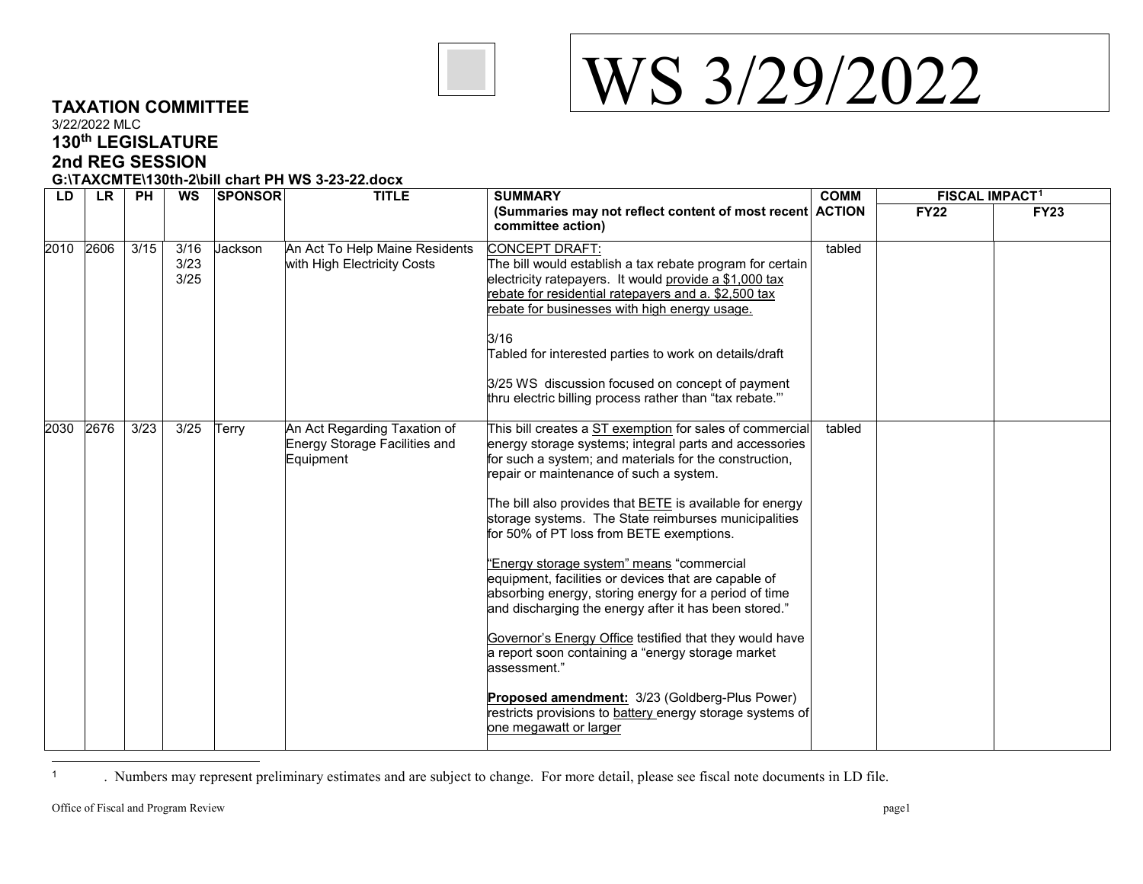

<span id="page-0-0"></span>

## **TAXATION COMMITTEE** 3/22/2022 MLC **130th LEGISLATURE 2nd REG SESSION G:\TAXCMTE\130th-2\bill chart PH WS 3-23-22.docx**

| LD   | <b>LR</b> | <b>PH</b> | WS                   | <b>SPONSOR</b> | <b>TITLE</b>                                                               | <b>SUMMARY</b>                                                                                                                                                                                                                                                                                                                                                                                                                                                                                                                                                                                                                                                                                                                                                                                                                                                                                 | <b>COMM</b> | <b>FISCAL IMPACT1</b> |             |
|------|-----------|-----------|----------------------|----------------|----------------------------------------------------------------------------|------------------------------------------------------------------------------------------------------------------------------------------------------------------------------------------------------------------------------------------------------------------------------------------------------------------------------------------------------------------------------------------------------------------------------------------------------------------------------------------------------------------------------------------------------------------------------------------------------------------------------------------------------------------------------------------------------------------------------------------------------------------------------------------------------------------------------------------------------------------------------------------------|-------------|-----------------------|-------------|
|      |           |           |                      |                |                                                                            | (Summaries may not reflect content of most recent ACTION<br>committee action)                                                                                                                                                                                                                                                                                                                                                                                                                                                                                                                                                                                                                                                                                                                                                                                                                  |             | <b>FY22</b>           | <b>FY23</b> |
| 2010 | 2606      | 3/15      | 3/16<br>3/23<br>3/25 | Jackson        | An Act To Help Maine Residents<br>with High Electricity Costs              | CONCEPT DRAFT:<br>The bill would establish a tax rebate program for certain<br>electricity ratepayers. It would provide a \$1,000 tax<br>rebate for residential ratepayers and a. \$2,500 tax<br>rebate for businesses with high energy usage.<br>3/16<br>Tabled for interested parties to work on details/draft<br>3/25 WS discussion focused on concept of payment<br>thru electric billing process rather than "tax rebate."                                                                                                                                                                                                                                                                                                                                                                                                                                                                | tabled      |                       |             |
| 2030 | 2676      | 3/23      | 3/25                 | Terry          | An Act Regarding Taxation of<br>Energy Storage Facilities and<br>Equipment | This bill creates a ST exemption for sales of commercial<br>energy storage systems; integral parts and accessories<br>for such a system; and materials for the construction,<br>repair or maintenance of such a system.<br>The bill also provides that <b>BETE</b> is available for energy<br>storage systems. The State reimburses municipalities<br>for 50% of PT loss from BETE exemptions.<br>"Energy storage system" means "commercial<br>equipment, facilities or devices that are capable of<br>absorbing energy, storing energy for a period of time<br>and discharging the energy after it has been stored."<br>Governor's Energy Office testified that they would have<br>a report soon containing a "energy storage market<br>assessment."<br>Proposed amendment: 3/23 (Goldberg-Plus Power)<br>restricts provisions to battery energy storage systems of<br>one megawatt or larger | tabled      |                       |             |

 $\overline{1}$ <sup>1</sup> . Numbers may represent preliminary estimates and are subject to change. For more detail, please see fiscal note documents in LD file.